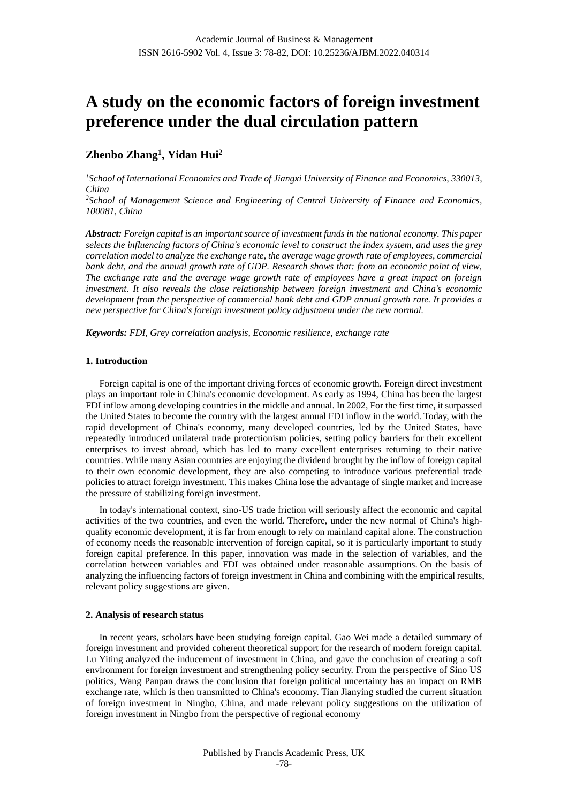# **A study on the economic factors of foreign investment preference under the dual circulation pattern**

## **Zhenbo Zhang<sup>1</sup> , Yidan Hui<sup>2</sup>**

*<sup>1</sup>School of International Economics and Trade of Jiangxi University of Finance and Economics, 330013, China*

*<sup>2</sup>School of Management Science and Engineering of Central University of Finance and Economics, 100081, China*

*Abstract: Foreign capital is an important source of investment funds in the national economy. This paper selects the influencing factors of China's economic level to construct the index system, and uses the grey correlation model to analyze the exchange rate, the average wage growth rate of employees, commercial bank debt, and the annual growth rate of GDP. Research shows that: from an economic point of view, The exchange rate and the average wage growth rate of employees have a great impact on foreign investment. It also reveals the close relationship between foreign investment and China's economic development from the perspective of commercial bank debt and GDP annual growth rate. It provides a new perspective for China's foreign investment policy adjustment under the new normal.*

*Keywords: FDI, Grey correlation analysis, Economic resilience, exchange rate*

## **1. Introduction**

Foreign capital is one of the important driving forces of economic growth. Foreign direct investment plays an important role in China's economic development. As early as 1994, China has been the largest FDI inflow among developing countries in the middle and annual. In 2002, For the first time, it surpassed the United States to become the country with the largest annual FDI inflow in the world. Today, with the rapid development of China's economy, many developed countries, led by the United States, have repeatedly introduced unilateral trade protectionism policies, setting policy barriers for their excellent enterprises to invest abroad, which has led to many excellent enterprises returning to their native countries. While many Asian countries are enjoying the dividend brought by the inflow of foreign capital to their own economic development, they are also competing to introduce various preferential trade policies to attract foreign investment. This makes China lose the advantage of single market and increase the pressure of stabilizing foreign investment.

In today's international context, sino-US trade friction will seriously affect the economic and capital activities of the two countries, and even the world. Therefore, under the new normal of China's highquality economic development, it is far from enough to rely on mainland capital alone. The construction of economy needs the reasonable intervention of foreign capital, so it is particularly important to study foreign capital preference. In this paper, innovation was made in the selection of variables, and the correlation between variables and FDI was obtained under reasonable assumptions. On the basis of analyzing the influencing factors of foreign investment in China and combining with the empirical results, relevant policy suggestions are given.

## **2. Analysis of research status**

In recent years, scholars have been studying foreign capital. Gao Wei made a detailed summary of foreign investment and provided coherent theoretical support for the research of modern foreign capital. Lu Yiting analyzed the inducement of investment in China, and gave the conclusion of creating a soft environment for foreign investment and strengthening policy security. From the perspective of Sino US politics, Wang Panpan draws the conclusion that foreign political uncertainty has an impact on RMB exchange rate, which is then transmitted to China's economy. Tian Jianying studied the current situation of foreign investment in Ningbo, China, and made relevant policy suggestions on the utilization of foreign investment in Ningbo from the perspective of regional economy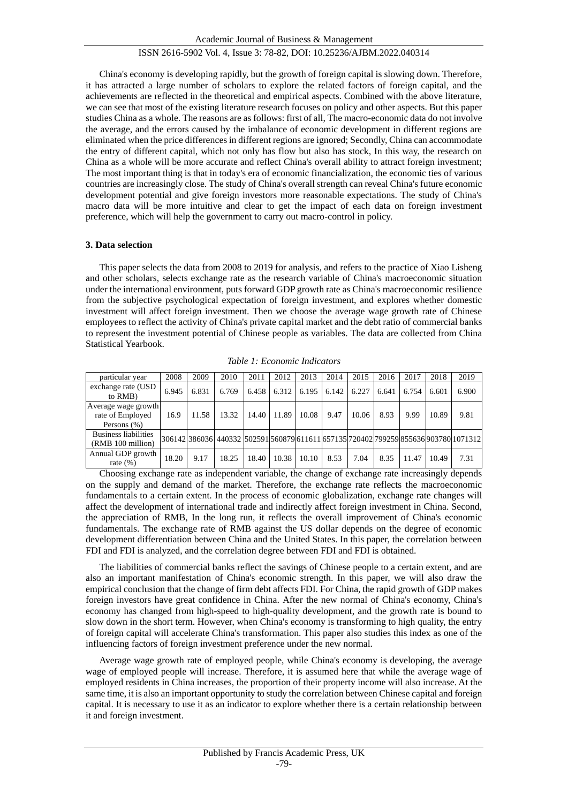China's economy is developing rapidly, but the growth of foreign capital is slowing down. Therefore, it has attracted a large number of scholars to explore the related factors of foreign capital, and the achievements are reflected in the theoretical and empirical aspects. Combined with the above literature, we can see that most of the existing literature research focuses on policy and other aspects. But this paper studies China as a whole. The reasons are as follows: first of all, The macro-economic data do not involve the average, and the errors caused by the imbalance of economic development in different regions are eliminated when the price differences in different regions are ignored; Secondly, China can accommodate the entry of different capital, which not only has flow but also has stock, In this way, the research on China as a whole will be more accurate and reflect China's overall ability to attract foreign investment; The most important thing is that in today's era of economic financialization, the economic ties of various countries are increasingly close. The study of China's overall strength can reveal China's future economic development potential and give foreign investors more reasonable expectations. The study of China's macro data will be more intuitive and clear to get the impact of each data on foreign investment preference, which will help the government to carry out macro-control in policy.

## **3. Data selection**

This paper selects the data from 2008 to 2019 for analysis, and refers to the practice of Xiao Lisheng and other scholars, selects exchange rate as the research variable of China's macroeconomic situation under the international environment, puts forward GDP growth rate as China's macroeconomic resilience from the subjective psychological expectation of foreign investment, and explores whether domestic investment will affect foreign investment. Then we choose the average wage growth rate of Chinese employees to reflect the activity of China's private capital market and the debt ratio of commercial banks to represent the investment potential of Chinese people as variables. The data are collected from China Statistical Yearbook.

| particular year                                           | 2008  | 2009  | 2010  | 2011  | 2012  | 2013  | 2014  | 2015  | 2016  | 2017  | 2018  | 2019                                                                                 |
|-----------------------------------------------------------|-------|-------|-------|-------|-------|-------|-------|-------|-------|-------|-------|--------------------------------------------------------------------------------------|
| exchange rate (USD)<br>to RMB)                            | 6.945 | 6.831 | 6.769 | 6.458 | 6.312 | 6.195 | 6.142 | 6.227 | 6.641 | 6.754 | 6.601 | 6.900                                                                                |
| Average wage growth<br>rate of Employed<br>Persons $(\%)$ | 16.9  | 11.58 | 13.32 | 14.40 | 11.89 | 10.08 | 9.47  | 10.06 | 8.93  | 9.99  | 10.89 | 9.81                                                                                 |
| <b>Business liabilities</b><br>(RMB 100 million)          |       |       |       |       |       |       |       |       |       |       |       | 306142 386036 440332 502591 560879 611611 657135 720402 799259 855636 903780 1071312 |
| Annual GDP growth<br>rate $(\% )$                         | 18.20 | 9.17  | 18.25 | 18.40 | 10.38 | 10.10 | 8.53  | 7.04  | 8.35  | 11.47 | 10.49 | 7.31                                                                                 |

*Table 1: Economic Indicators*

Choosing exchange rate as independent variable, the change of exchange rate increasingly depends on the supply and demand of the market. Therefore, the exchange rate reflects the macroeconomic fundamentals to a certain extent. In the process of economic globalization, exchange rate changes will affect the development of international trade and indirectly affect foreign investment in China. Second, the appreciation of RMB, In the long run, it reflects the overall improvement of China's economic fundamentals. The exchange rate of RMB against the US dollar depends on the degree of economic development differentiation between China and the United States. In this paper, the correlation between FDI and FDI is analyzed, and the correlation degree between FDI and FDI is obtained.

The liabilities of commercial banks reflect the savings of Chinese people to a certain extent, and are also an important manifestation of China's economic strength. In this paper, we will also draw the empirical conclusion that the change of firm debt affects FDI. For China, the rapid growth of GDP makes foreign investors have great confidence in China. After the new normal of China's economy, China's economy has changed from high-speed to high-quality development, and the growth rate is bound to slow down in the short term. However, when China's economy is transforming to high quality, the entry of foreign capital will accelerate China's transformation. This paper also studies this index as one of the influencing factors of foreign investment preference under the new normal.

Average wage growth rate of employed people, while China's economy is developing, the average wage of employed people will increase. Therefore, it is assumed here that while the average wage of employed residents in China increases, the proportion of their property income will also increase. At the same time, it is also an important opportunity to study the correlation between Chinese capital and foreign capital. It is necessary to use it as an indicator to explore whether there is a certain relationship between it and foreign investment.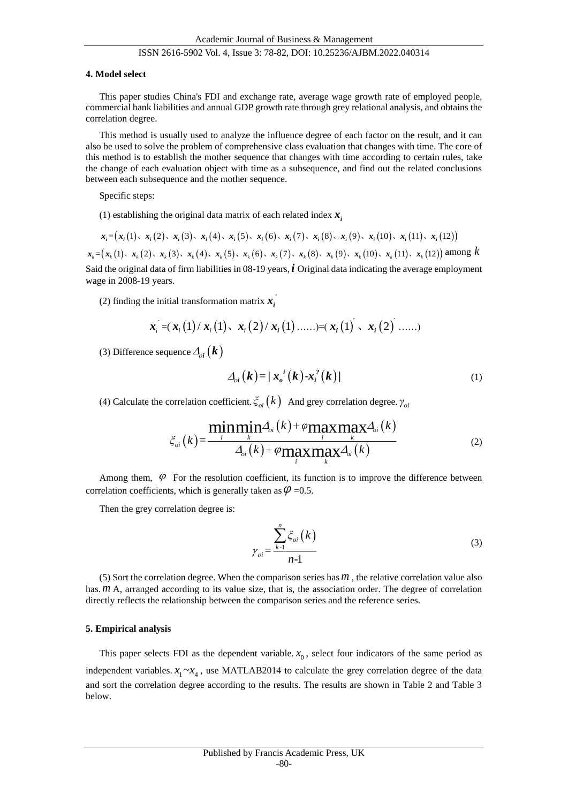#### **4. Model select**

This paper studies China's FDI and exchange rate, average wage growth rate of employed people, commercial bank liabilities and annual GDP growth rate through grey relational analysis, and obtains the correlation degree.

This method is usually used to analyze the influence degree of each factor on the result, and it can also be used to solve the problem of comprehensive class evaluation that changes with time. The core of this method is to establish the mother sequence that changes with time according to certain rules, take the change of each evaluation object with time as a subsequence, and find out the related conclusions between each subsequence and the mother sequence.

Specific steps:

(1) establishing the original data matrix of each related index  $x_i$ 

$$
x_i = (x_i(1), x_i(2), x_i(3), x_i(4), x_i(5), x_i(6), x_i(7), x_i(8), x_i(9), x_i(10), x_i(11), x_i(12))
$$

 $x_k = (x_k(1), x_k(2), x_k(3), x_k(4), x_k(5), x_k(6), x_k(7), x_k(8), x_k(9), x_k(10), x_k(11), x_k(12))$  among k Said the original data of firm liabilities in 08-19 years, *i* Original data indicating the average employment wage in 2008-19 years.

(2) finding the initial transformation matrix  $x_i$ 

$$
\boldsymbol{x}_{i} = (\boldsymbol{x}_{i}(1) / \boldsymbol{x}_{i}(1), \ \boldsymbol{x}_{i}(2) / \boldsymbol{x}_{i}(1) \dots ) = (\boldsymbol{x}_{i}(1) \times \boldsymbol{x}_{i}(2) \dots)
$$

(3) Difference sequence  $\mathcal{A}_{oi}(\boldsymbol{k})$ 

$$
\Delta_{oi}(k) = \frac{x_i^i(k) - x_i^2(k)}{}
$$
 (1)

(4) Calculate the correlation coefficient. 
$$
\xi_{oi}(k)
$$
 And grey correlation degree.  $\gamma_{oi}$   

$$
\xi_{oi}(k) = \frac{\min_{i} \min_{k} \Delta_{oi}(k) + \varphi \max_{i} \max_{k} \Delta_{oi}(k)}{\Delta_{oi}(k) + \varphi \max_{i} \max_{k} \Delta_{oi}(k)}
$$
(2)

Among them,  $\varphi$  For the resolution coefficient, its function is to improve the difference between correlation coefficients, which is generally taken as  $\varphi$  =0.5.

Then the grey correlation degree is:

$$
\gamma_{oi} = \frac{\sum_{k=1}^{n} \xi_{oi}(k)}{n-1}
$$
\n(3)

(5) Sort the correlation degree. When the comparison series has  $m$ , the relative correlation value also has. *m* A, arranged according to its value size, that is, the association order. The degree of correlation directly reflects the relationship between the comparison series and the reference series.

#### **5. Empirical analysis**

This paper selects FDI as the dependent variable.  $x_0$ , select four indicators of the same period as independent variables.  $x_1 \sim x_4$ , use MATLAB2014 to calculate the grey correlation degree of the data and sort the correlation degree according to the results. The results are shown in Table 2 and Table 3 below.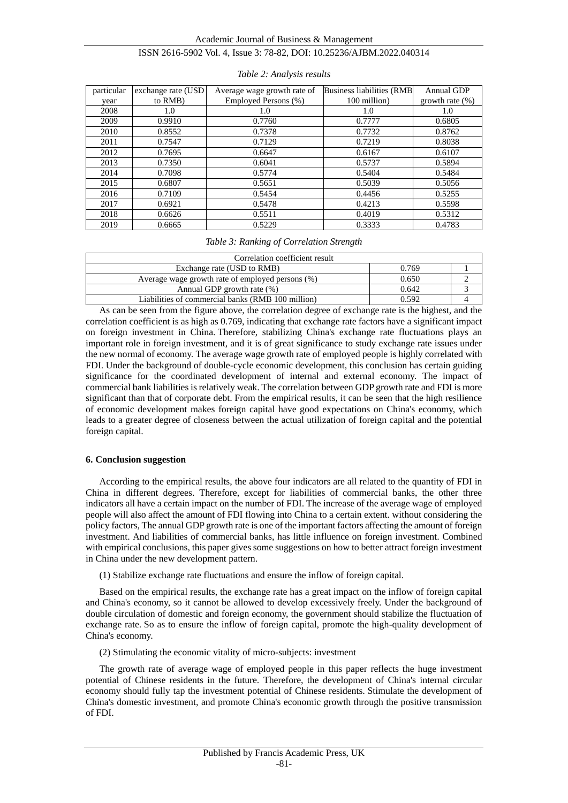| particular | exchange rate (USD) | Average wage growth rate of | Business liabilities (RMB | <b>Annual GDP</b>  |
|------------|---------------------|-----------------------------|---------------------------|--------------------|
| year       | to RMB)             | Employed Persons (%)        | 100 million)              | growth rate $(\%)$ |
| 2008       | 1.0                 | 1.0                         | 1.0                       | 1.0                |
| 2009       | 0.9910              | 0.7760                      | 0.7777                    | 0.6805             |
| 2010       | 0.8552              | 0.7378                      | 0.7732                    | 0.8762             |
| 2011       | 0.7547              | 0.7129                      | 0.7219                    | 0.8038             |
| 2012       | 0.7695              | 0.6647                      | 0.6167                    | 0.6107             |
| 2013       | 0.7350              | 0.6041                      | 0.5737                    | 0.5894             |
| 2014       | 0.7098              | 0.5774                      | 0.5404                    | 0.5484             |
| 2015       | 0.6807              | 0.5651                      | 0.5039                    | 0.5056             |
| 2016       | 0.7109              | 0.5454                      | 0.4456                    | 0.5255             |
| 2017       | 0.6921              | 0.5478                      | 0.4213                    | 0.5598             |
| 2018       | 0.6626              | 0.5511                      | 0.4019                    | 0.5312             |
| 2019       | 0.6665              | 0.5229                      | 0.3333                    | 0.4783             |

#### *Table 2: Analysis results*

#### *Table 3: Ranking of Correlation Strength*

| Correlation coefficient result                    |       |  |  |  |  |
|---------------------------------------------------|-------|--|--|--|--|
| Exchange rate (USD to RMB)                        | 0.769 |  |  |  |  |
| Average wage growth rate of employed persons (%)  | 0.650 |  |  |  |  |
| Annual GDP growth rate $(\%)$                     | 0.642 |  |  |  |  |
| Liabilities of commercial banks (RMB 100 million) | 0.592 |  |  |  |  |

As can be seen from the figure above, the correlation degree of exchange rate is the highest, and the correlation coefficient is as high as 0.769, indicating that exchange rate factors have a significant impact on foreign investment in China. Therefore, stabilizing China's exchange rate fluctuations plays an important role in foreign investment, and it is of great significance to study exchange rate issues under the new normal of economy. The average wage growth rate of employed people is highly correlated with FDI. Under the background of double-cycle economic development, this conclusion has certain guiding significance for the coordinated development of internal and external economy. The impact of commercial bank liabilities is relatively weak. The correlation between GDP growth rate and FDI is more significant than that of corporate debt. From the empirical results, it can be seen that the high resilience of economic development makes foreign capital have good expectations on China's economy, which leads to a greater degree of closeness between the actual utilization of foreign capital and the potential foreign capital.

#### **6. Conclusion suggestion**

According to the empirical results, the above four indicators are all related to the quantity of FDI in China in different degrees. Therefore, except for liabilities of commercial banks, the other three indicators all have a certain impact on the number of FDI. The increase of the average wage of employed people will also affect the amount of FDI flowing into China to a certain extent. without considering the policy factors, The annual GDP growth rate is one of the important factors affecting the amount of foreign investment. And liabilities of commercial banks, has little influence on foreign investment. Combined with empirical conclusions, this paper gives some suggestions on how to better attract foreign investment in China under the new development pattern.

(1) Stabilize exchange rate fluctuations and ensure the inflow of foreign capital.

Based on the empirical results, the exchange rate has a great impact on the inflow of foreign capital and China's economy, so it cannot be allowed to develop excessively freely. Under the background of double circulation of domestic and foreign economy, the government should stabilize the fluctuation of exchange rate. So as to ensure the inflow of foreign capital, promote the high-quality development of China's economy.

(2) Stimulating the economic vitality of micro-subjects: investment

The growth rate of average wage of employed people in this paper reflects the huge investment potential of Chinese residents in the future. Therefore, the development of China's internal circular economy should fully tap the investment potential of Chinese residents. Stimulate the development of China's domestic investment, and promote China's economic growth through the positive transmission of FDI.